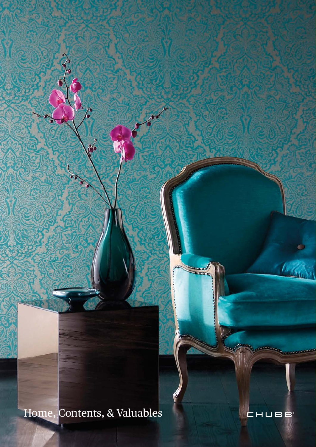Home, Contents, & Valuables



**ELECTRICIAN DE COMMENCION** 

Agathan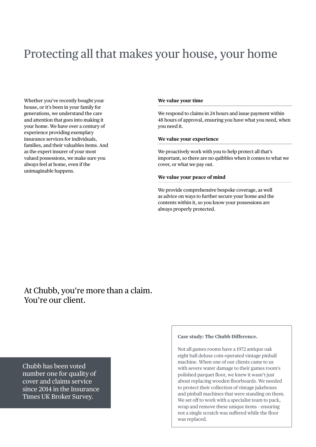# Protecting all that makes your house, your home

Whether you've recently bought your house, or it's been in your family for generations, we understand the care and attention that goes into making it your home. We have over a century of experience providing exemplary insurance services for individuals, families, and their valuables items. And as the expert insurer of your most valued possessions, we make sure you always feel at home, even if the unimaginable happens.

#### **We value your time**

We respond to claims in 24 hours and issue payment within 48 hours of approval, ensuring you have what you need, when you need it.

### **We value your experience**

We proactively work with you to help protect all that's important, so there are no quibbles when it comes to what we cover, or what we pay out.

### **We value your peace of mind**

We provide comprehensive bespoke coverage, as well as advice on ways to further secure your home and the contents within it, so you know your possessions are always properly protected.

At Chubb, you're more than a claim. You're our client.

Chubb has been voted number one for quality of cover and claims service since 2014 in the Insurance Times UK Broker Survey.

#### **Case study: The Chubb Difference.**

Not all games rooms have a 1972 antique oak eight ball deluxe coin-operated vintage pinball machine. When one of our clients came to us with severe water damage to their games room's polished parquet floor, we knew it wasn't just about replacing wooden floorboards. We needed to protect their collection of vintage jukeboxes and pinball machines that were standing on them. We set off to work with a specialist team to pack, wrap and remove these unique items – ensuring not a single scratch was suffered while the floor was replaced.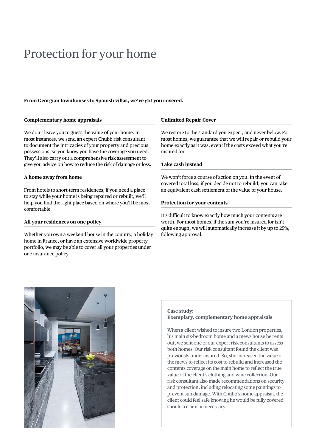## Protection for your home

#### **From Georgian townhouses to Spanish villas, we've got you covered.**

#### **Complementary home appraisals**

We don't leave you to guess the value of your home. In most instances, we send an expert Chubb risk consultant to document the intricacies of your property and precious possessions, so you know you have the coverage you need. They'll also carry out a comprehensive risk assessment to give you advice on how to reduce the risk of damage or loss.

### **A home away from home**

From hotels to short-term residences, if you need a place to stay while your home is being repaired or rebuilt, we'll help you find the right place based on where you'll be most comfortable.

#### **All your residences on one policy**

Whether you own a weekend house in the country, a holiday home in France, or have an extensive worldwide property portfolio, we may be able to cover all your properties under one insurance policy.

#### **Unlimited Repair Cover**

We restore to the standard you expect, and never below. For most homes, we guarantee that we will repair or rebuild your home exactly as it was, even if the costs exceed what you're insured for.

#### **Take cash instead**

We won't force a course of action on you. In the event of covered total loss, if you decide not to rebuild, you can take an equivalent cash settlement of the value of your house.

#### **Protection for your contents**

It's difficult to know exactly how much your contents are worth. For most homes, if the sum you're insured for isn't quite enough, we will automatically increase it by up to 25%, following approval.



#### **Case study:**

#### **Exemplary, complementary home appraisals**

When a client wished to insure two London properties, his main six-bedroom home and a mews house he rents out, we sent one of our expert risk consultants to assess both homes. Our risk consultant found the client was previously underinsured. So, she increased the value of the mews to reflect its cost to rebuild and increased the contents coverage on the main home to reflect the true value of the client's clothing and wine collection. Our risk consultant also made recommendations on security and protection, including relocating some paintings to prevent sun damage. With Chubb's home appraisal, the client could feel safe knowing he would be fully covered should a claim be necessary.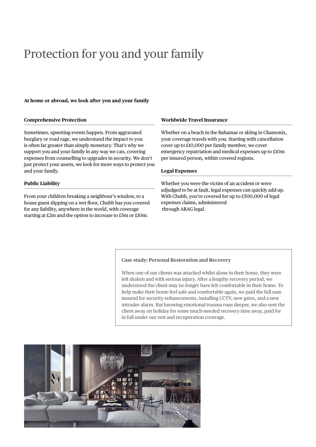# Protection for you and your family

### **At home or abroad, we look after you and your family**

#### **Comprehensive Protection**

Sometimes, upsetting events happen. From aggravated burglary or road rage, we understand the impact to you is often far greater than simply monetary. That's why we support you and your family in any way we can, covering expenses from counselling to upgrades in security. We don't just protect your assets, we look for more ways to protect you and your family.

#### **Public Liability**

From your children breaking a neighbour's window, to a house guest slipping on a wet floor, Chubb has you covered for any liability, anywhere in the world, with coverage starting at £2m and the option to increase to £5m or £10m.

#### **Worldwide Travel Insurance**

Whether on a beach in the Bahamas or skiing in Chamonix, your coverage travels with you. Starting with cancellation cover up to £10,000 per family member, we cover emergency repatriation and medical expenses up to £10m per insured person, within covered regions.

#### **Legal Expenses**

Whether you were the victim of an accident or were adjudged to be at fault, legal expenses can quickly add up. With Chubb, you're covered for up to £500,000 of legal expenses claims, administered through ARAG legal.

#### **Case study: Personal Restoration and Recovery**

When one of our clients was attacked whilst alone in their home, they were left shaken and with serious injury. After a lengthy recovery period, we understood the client may no longer have felt comfortable in their home. To help make their home feel safe and comfortable again, we paid the full sum insured for security enhancements, installing CCTV, new gates, and a new intruder alarm. But knowing emotional trauma runs deeper, we also sent the client away on holiday for some much-needed recovery time away, paid for in full under our rest and recuperation coverage.

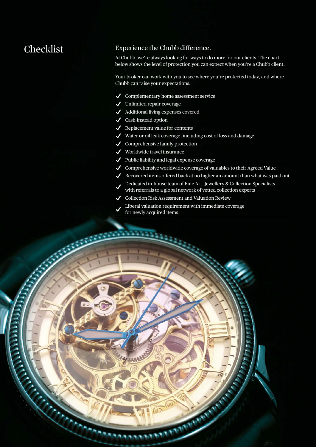### Checklist Experience the Chubb difference.

At Chubb, we're always looking for ways to do more for our clients. The chart below shows the level of protection you can expect when you're a Chubb client.

Your broker can work with you to see where you're protected today, and where Chubb can raise your expectations.

- $\checkmark$ Complementary home assessment service
- $\checkmark$ Unlimited repair coverage
- Additional living expenses covered
- Cash-instead option

**ANANY** 

- $\checkmark$  Replacement value for contents
- $\checkmark$ Water or oil leak coverage, including cost of loss and damage
- $\checkmark$  Comprehensive family protection
- Worldwide travel insurance  $\checkmark$
- Public liability and legal expense coverage
- $\triangleleft$  Comprehensive worldwide coverage of valuables to their Agreed Value
- Recovered items offered back at no higher an amount than what was paid out  $\checkmark$
- Dedicated in-house team of Fine Art, Jewellery & Collection Specialists,  $\checkmark$ with referrals to a global network of vetted collection experts

**CONTRACTOR** 

- Collection Risk Assessment and Valuation Review  $\boldsymbol{\mathcal{L}}$
- Liberal valuation requirement with immediate coverage for newly acquired items